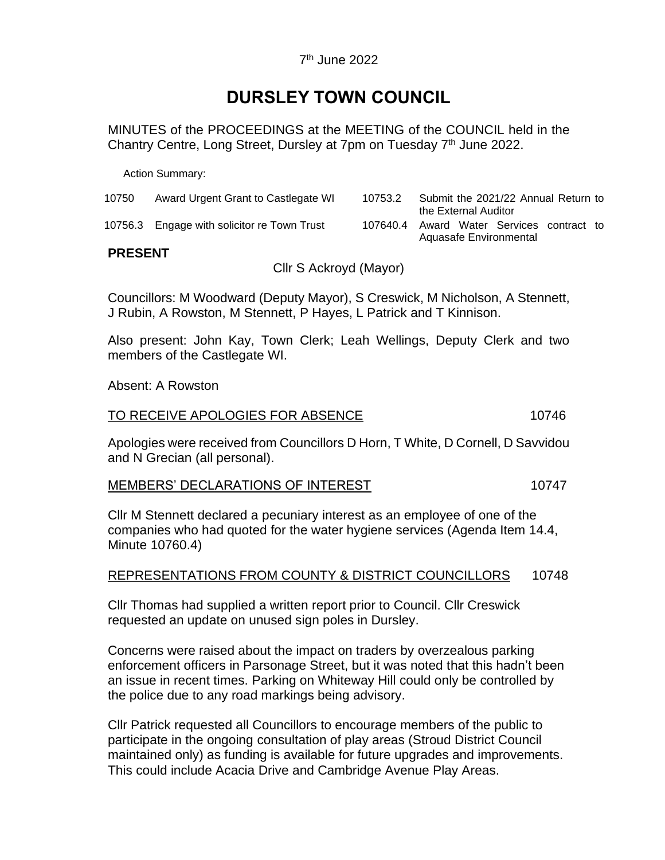# **DURSLEY TOWN COUNCIL**

MINUTES of the PROCEEDINGS at the MEETING of the COUNCIL held in the Chantry Centre, Long Street, Dursley at 7pm on Tuesday 7<sup>th</sup> June 2022.

Action Summary:

| 10750 | Award Urgent Grant to Castlegate WI         | 10753.2                                   | Submit the 2021/22 Annual Return to |                      |  |  |  |
|-------|---------------------------------------------|-------------------------------------------|-------------------------------------|----------------------|--|--|--|
|       |                                             |                                           |                                     | the External Auditor |  |  |  |
|       | 10756.3 Engage with solicitor re Town Trust | 107640.4 Award Water Services contract to |                                     |                      |  |  |  |
|       |                                             |                                           | Aquasafe Environmental              |                      |  |  |  |

# **PRESENT**

Cllr S Ackroyd (Mayor)

Councillors: M Woodward (Deputy Mayor), S Creswick, M Nicholson, A Stennett, J Rubin, A Rowston, M Stennett, P Hayes, L Patrick and T Kinnison.

Also present: John Kay, Town Clerk; Leah Wellings, Deputy Clerk and two members of the Castlegate WI.

Absent: A Rowston

## TO RECEIVE APOLOGIES FOR ABSENCE 10746

Apologies were received from Councillors D Horn, T White, D Cornell, D Savvidou and N Grecian (all personal).

# MEMBERS' DECLARATIONS OF INTEREST 10747

Cllr M Stennett declared a pecuniary interest as an employee of one of the companies who had quoted for the water hygiene services (Agenda Item 14.4, Minute 10760.4)

## REPRESENTATIONS FROM COUNTY & DISTRICT COUNCILLORS 10748

Cllr Thomas had supplied a written report prior to Council. Cllr Creswick requested an update on unused sign poles in Dursley.

Concerns were raised about the impact on traders by overzealous parking enforcement officers in Parsonage Street, but it was noted that this hadn't been an issue in recent times. Parking on Whiteway Hill could only be controlled by the police due to any road markings being advisory.

Cllr Patrick requested all Councillors to encourage members of the public to participate in the ongoing consultation of play areas (Stroud District Council maintained only) as funding is available for future upgrades and improvements. This could include Acacia Drive and Cambridge Avenue Play Areas.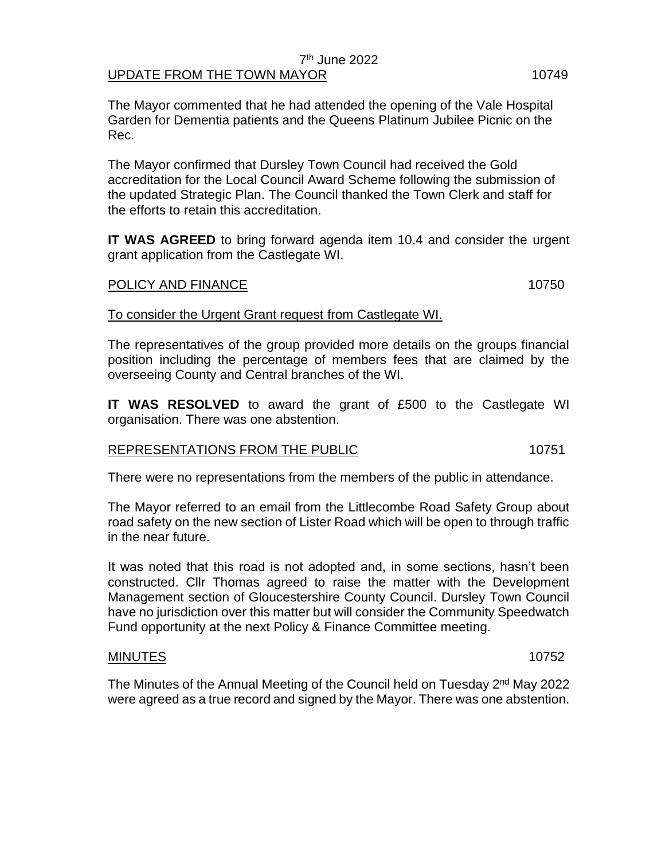#### 7 th June 2022 UPDATE FROM THE TOWN MAYOR **10749**

The Mayor commented that he had attended the opening of the Vale Hospital Garden for Dementia patients and the Queens Platinum Jubilee Picnic on the Rec.

The Mayor confirmed that Dursley Town Council had received the Gold accreditation for the Local Council Award Scheme following the submission of the updated Strategic Plan. The Council thanked the Town Clerk and staff for the efforts to retain this accreditation.

**IT WAS AGREED** to bring forward agenda item 10.4 and consider the urgent grant application from the Castlegate WI.

## POLICY AND FINANCE 10750

To consider the Urgent Grant request from Castlegate WI.

The representatives of the group provided more details on the groups financial position including the percentage of members fees that are claimed by the overseeing County and Central branches of the WI.

**IT WAS RESOLVED** to award the grant of £500 to the Castlegate WI organisation. There was one abstention.

## REPRESENTATIONS FROM THE PUBLIC **10751**

There were no representations from the members of the public in attendance.

The Mayor referred to an email from the Littlecombe Road Safety Group about road safety on the new section of Lister Road which will be open to through traffic in the near future.

It was noted that this road is not adopted and, in some sections, hasn't been constructed. Cllr Thomas agreed to raise the matter with the Development Management section of Gloucestershire County Council. Dursley Town Council have no jurisdiction over this matter but will consider the Community Speedwatch Fund opportunity at the next Policy & Finance Committee meeting.

# MINUTES 10752

The Minutes of the Annual Meeting of the Council held on Tuesday 2<sup>nd</sup> May 2022 were agreed as a true record and signed by the Mayor. There was one abstention.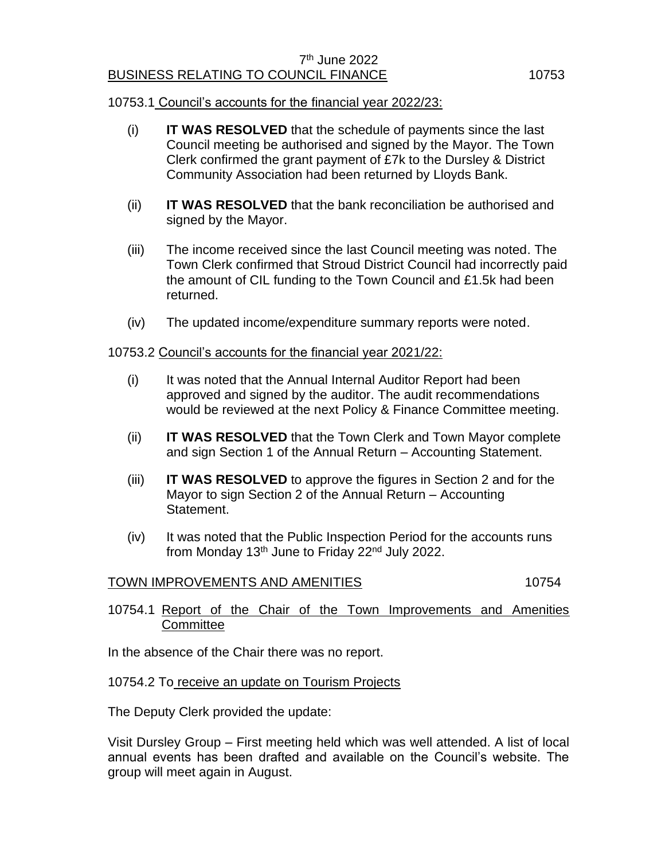# 10753.1 Council's accounts for the financial year 2022/23:

- (i) **IT WAS RESOLVED** that the schedule of payments since the last Council meeting be authorised and signed by the Mayor. The Town Clerk confirmed the grant payment of £7k to the Dursley & District Community Association had been returned by Lloyds Bank.
- (ii) **IT WAS RESOLVED** that the bank reconciliation be authorised and signed by the Mayor.
- (iii) The income received since the last Council meeting was noted. The Town Clerk confirmed that Stroud District Council had incorrectly paid the amount of CIL funding to the Town Council and £1.5k had been returned.
- (iv) The updated income/expenditure summary reports were noted.

# 10753.2 Council's accounts for the financial year 2021/22:

- (i) It was noted that the Annual Internal Auditor Report had been approved and signed by the auditor. The audit recommendations would be reviewed at the next Policy & Finance Committee meeting.
- (ii) **IT WAS RESOLVED** that the Town Clerk and Town Mayor complete and sign Section 1 of the Annual Return – Accounting Statement.
- (iii) **IT WAS RESOLVED** to approve the figures in Section 2 and for the Mayor to sign Section 2 of the Annual Return – Accounting Statement.
- (iv) It was noted that the Public Inspection Period for the accounts runs from Monday 13<sup>th</sup> June to Friday 22<sup>nd</sup> July 2022.

# TOWN IMPROVEMENTS AND AMENITIES 10754

# 10754.1 Report of the Chair of the Town Improvements and Amenities **Committee**

In the absence of the Chair there was no report.

## 10754.2 To receive an update on Tourism Projects

The Deputy Clerk provided the update:

Visit Dursley Group – First meeting held which was well attended. A list of local annual events has been drafted and available on the Council's website. The group will meet again in August.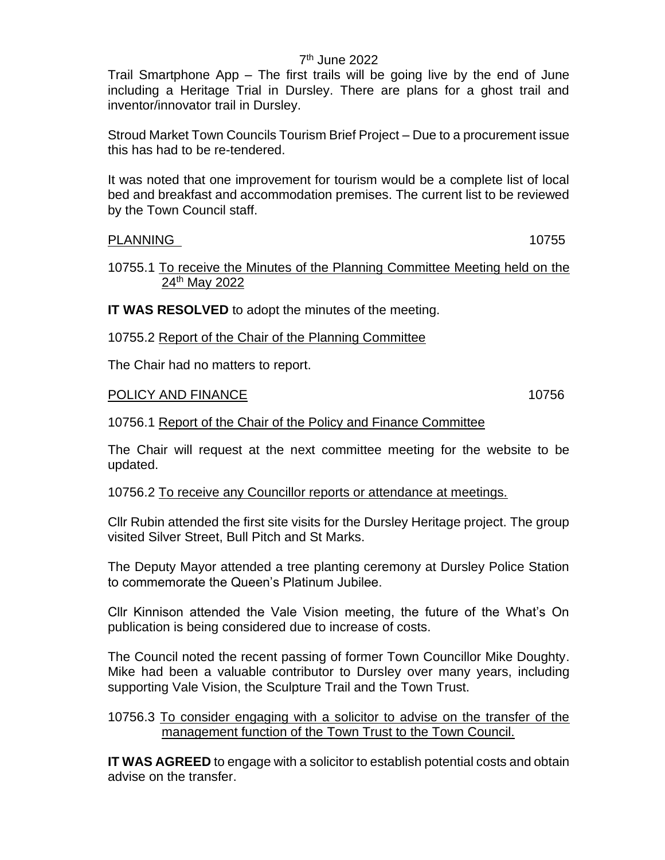# 7 th June 2022

Trail Smartphone App – The first trails will be going live by the end of June including a Heritage Trial in Dursley. There are plans for a ghost trail and inventor/innovator trail in Dursley.

Stroud Market Town Councils Tourism Brief Project – Due to a procurement issue this has had to be re-tendered.

It was noted that one improvement for tourism would be a complete list of local bed and breakfast and accommodation premises. The current list to be reviewed by the Town Council staff.

# PLANNING 10755

## 10755.1 To receive the Minutes of the Planning Committee Meeting held on the 24th May 2022

**IT WAS RESOLVED** to adopt the minutes of the meeting.

10755.2 Report of the Chair of the Planning Committee

The Chair had no matters to report.

# POLICY AND FINANCE 10756

# 10756.1 Report of the Chair of the Policy and Finance Committee

The Chair will request at the next committee meeting for the website to be updated.

10756.2 To receive any Councillor reports or attendance at meetings.

Cllr Rubin attended the first site visits for the Dursley Heritage project. The group visited Silver Street, Bull Pitch and St Marks.

The Deputy Mayor attended a tree planting ceremony at Dursley Police Station to commemorate the Queen's Platinum Jubilee.

Cllr Kinnison attended the Vale Vision meeting, the future of the What's On publication is being considered due to increase of costs.

The Council noted the recent passing of former Town Councillor Mike Doughty. Mike had been a valuable contributor to Dursley over many years, including supporting Vale Vision, the Sculpture Trail and the Town Trust.

10756.3 To consider engaging with a solicitor to advise on the transfer of the management function of the Town Trust to the Town Council.

**IT WAS AGREED** to engage with a solicitor to establish potential costs and obtain advise on the transfer.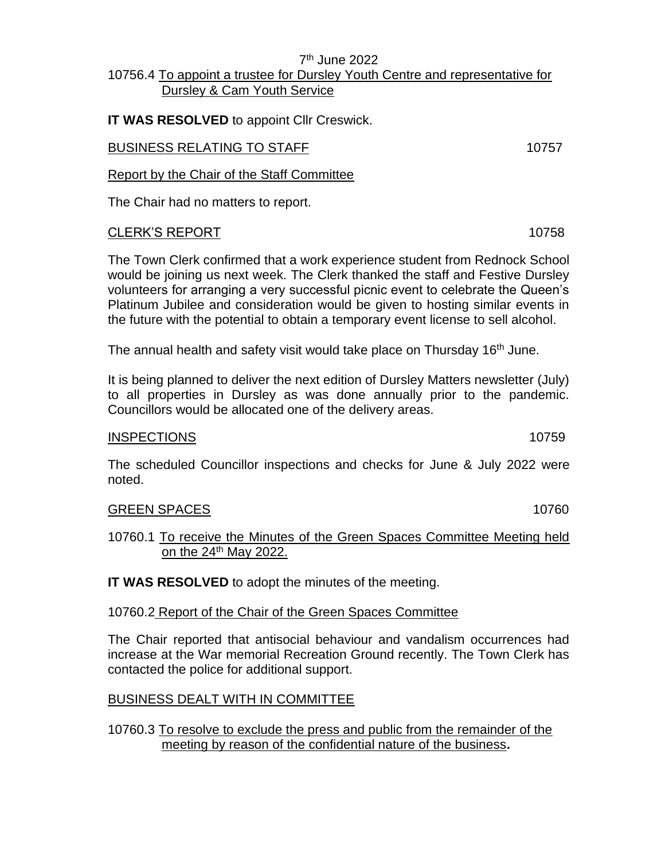# 7 th June 2022 10756.4 To appoint a trustee for Dursley Youth Centre and representative for Dursley & Cam Youth Service

**IT WAS RESOLVED** to appoint Cllr Creswick.

# BUSINESS RELATING TO STAFF **10757**

Report by the Chair of the Staff Committee

The Chair had no matters to report.

# CLERK'S REPORT 10758

The Town Clerk confirmed that a work experience student from Rednock School would be joining us next week. The Clerk thanked the staff and Festive Dursley volunteers for arranging a very successful picnic event to celebrate the Queen's Platinum Jubilee and consideration would be given to hosting similar events in the future with the potential to obtain a temporary event license to sell alcohol.

The annual health and safety visit would take place on Thursday 16<sup>th</sup> June.

It is being planned to deliver the next edition of Dursley Matters newsletter (July) to all properties in Dursley as was done annually prior to the pandemic. Councillors would be allocated one of the delivery areas.

# INSPECTIONS 10759

The scheduled Councillor inspections and checks for June & July 2022 were noted.

# GREEN SPACES 10760

10760.1 To receive the Minutes of the Green Spaces Committee Meeting held on the  $24<sup>th</sup>$  May 2022.

**IT WAS RESOLVED** to adopt the minutes of the meeting.

# 10760.2 Report of the Chair of the Green Spaces Committee

The Chair reported that antisocial behaviour and vandalism occurrences had increase at the War memorial Recreation Ground recently. The Town Clerk has contacted the police for additional support.

# BUSINESS DEALT WITH IN COMMITTEE

10760.3 To resolve to exclude the press and public from the remainder of the meeting by reason of the confidential nature of the business**.**